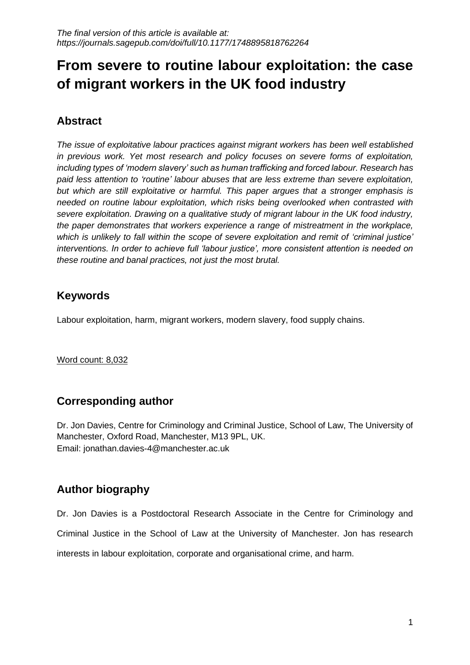# **From severe to routine labour exploitation: the case of migrant workers in the UK food industry**

## **Abstract**

*The issue of exploitative labour practices against migrant workers has been well established in previous work. Yet most research and policy focuses on severe forms of exploitation, including types of 'modern slavery' such as human trafficking and forced labour. Research has paid less attention to 'routine' labour abuses that are less extreme than severe exploitation, but which are still exploitative or harmful. This paper argues that a stronger emphasis is needed on routine labour exploitation, which risks being overlooked when contrasted with severe exploitation. Drawing on a qualitative study of migrant labour in the UK food industry, the paper demonstrates that workers experience a range of mistreatment in the workplace, which is unlikely to fall within the scope of severe exploitation and remit of 'criminal justice' interventions. In order to achieve full 'labour justice', more consistent attention is needed on these routine and banal practices, not just the most brutal.*

## **Keywords**

Labour exploitation, harm, migrant workers, modern slavery, food supply chains.

Word count: 8,032

## **Corresponding author**

Dr. Jon Davies, Centre for Criminology and Criminal Justice, School of Law, The University of Manchester, Oxford Road, Manchester, M13 9PL, UK. Email: jonathan.davies-4@manchester.ac.uk

## **Author biography**

Dr. Jon Davies is a Postdoctoral Research Associate in the Centre for Criminology and Criminal Justice in the School of Law at the University of Manchester. Jon has research interests in labour exploitation, corporate and organisational crime, and harm.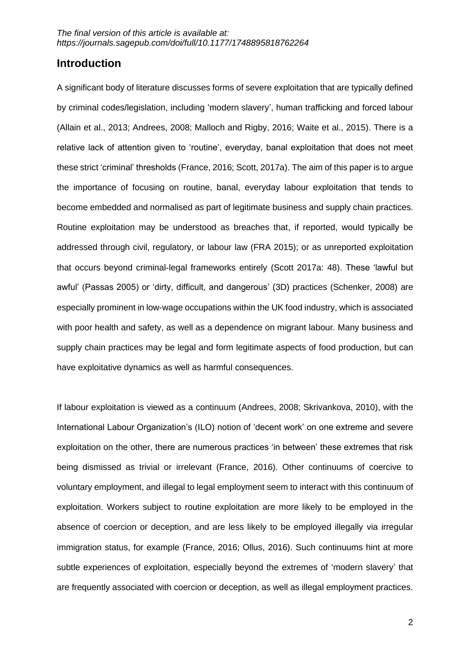## **Introduction**

A significant body of literature discusses forms of severe exploitation that are typically defined by criminal codes/legislation, including 'modern slavery', human trafficking and forced labour (Allain et al., 2013; Andrees, 2008; Malloch and Rigby, 2016; Waite et al., 2015). There is a relative lack of attention given to 'routine', everyday, banal exploitation that does not meet these strict 'criminal' thresholds (France, 2016; Scott, 2017a). The aim of this paper is to argue the importance of focusing on routine, banal, everyday labour exploitation that tends to become embedded and normalised as part of legitimate business and supply chain practices. Routine exploitation may be understood as breaches that, if reported, would typically be addressed through civil, regulatory, or labour law (FRA 2015); or as unreported exploitation that occurs beyond criminal-legal frameworks entirely (Scott 2017a: 48). These 'lawful but awful' (Passas 2005) or 'dirty, difficult, and dangerous' (3D) practices (Schenker, 2008) are especially prominent in low-wage occupations within the UK food industry, which is associated with poor health and safety, as well as a dependence on migrant labour. Many business and supply chain practices may be legal and form legitimate aspects of food production, but can have exploitative dynamics as well as harmful consequences.

If labour exploitation is viewed as a continuum (Andrees, 2008; Skrivankova, 2010), with the International Labour Organization's (ILO) notion of 'decent work' on one extreme and severe exploitation on the other, there are numerous practices 'in between' these extremes that risk being dismissed as trivial or irrelevant (France, 2016). Other continuums of coercive to voluntary employment, and illegal to legal employment seem to interact with this continuum of exploitation. Workers subject to routine exploitation are more likely to be employed in the absence of coercion or deception, and are less likely to be employed illegally via irregular immigration status, for example (France, 2016; Ollus, 2016). Such continuums hint at more subtle experiences of exploitation, especially beyond the extremes of 'modern slavery' that are frequently associated with coercion or deception, as well as illegal employment practices.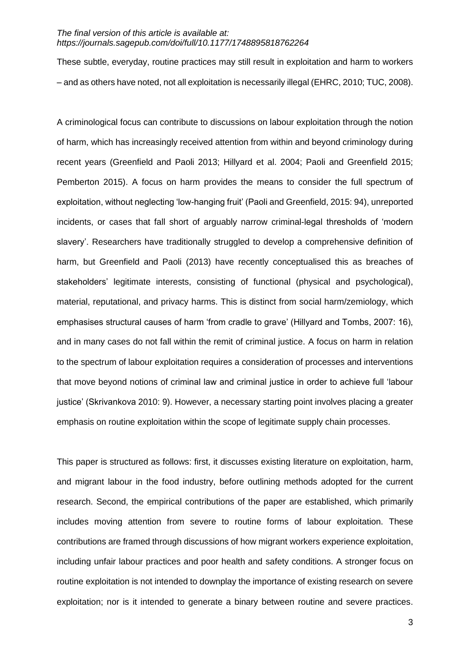These subtle, everyday, routine practices may still result in exploitation and harm to workers – and as others have noted, not all exploitation is necessarily illegal (EHRC, 2010; TUC, 2008).

A criminological focus can contribute to discussions on labour exploitation through the notion of harm, which has increasingly received attention from within and beyond criminology during recent years (Greenfield and Paoli 2013; Hillyard et al. 2004; Paoli and Greenfield 2015; Pemberton 2015). A focus on harm provides the means to consider the full spectrum of exploitation, without neglecting 'low-hanging fruit' (Paoli and Greenfield, 2015: 94), unreported incidents, or cases that fall short of arguably narrow criminal-legal thresholds of 'modern slavery'. Researchers have traditionally struggled to develop a comprehensive definition of harm, but Greenfield and Paoli (2013) have recently conceptualised this as breaches of stakeholders' legitimate interests, consisting of functional (physical and psychological), material, reputational, and privacy harms. This is distinct from social harm/zemiology, which emphasises structural causes of harm 'from cradle to grave' (Hillyard and Tombs, 2007: 16), and in many cases do not fall within the remit of criminal justice. A focus on harm in relation to the spectrum of labour exploitation requires a consideration of processes and interventions that move beyond notions of criminal law and criminal justice in order to achieve full 'labour justice' (Skrivankova 2010: 9). However, a necessary starting point involves placing a greater emphasis on routine exploitation within the scope of legitimate supply chain processes.

This paper is structured as follows: first, it discusses existing literature on exploitation, harm, and migrant labour in the food industry, before outlining methods adopted for the current research. Second, the empirical contributions of the paper are established, which primarily includes moving attention from severe to routine forms of labour exploitation. These contributions are framed through discussions of how migrant workers experience exploitation, including unfair labour practices and poor health and safety conditions. A stronger focus on routine exploitation is not intended to downplay the importance of existing research on severe exploitation; nor is it intended to generate a binary between routine and severe practices.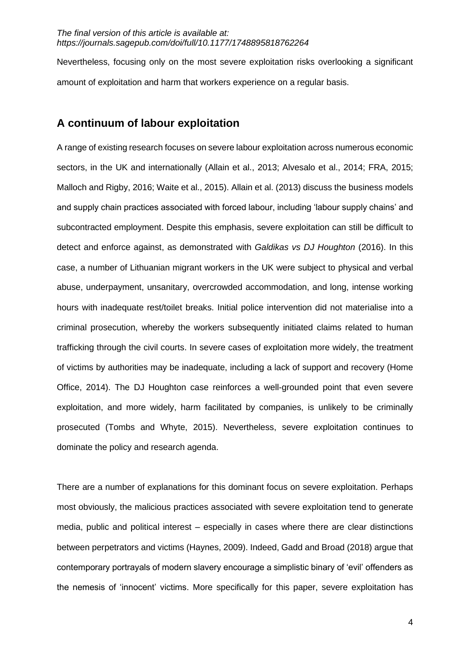Nevertheless, focusing only on the most severe exploitation risks overlooking a significant amount of exploitation and harm that workers experience on a regular basis.

## **A continuum of labour exploitation**

A range of existing research focuses on severe labour exploitation across numerous economic sectors, in the UK and internationally (Allain et al., 2013; Alvesalo et al., 2014; FRA, 2015; Malloch and Rigby, 2016; Waite et al., 2015). Allain et al. (2013) discuss the business models and supply chain practices associated with forced labour, including 'labour supply chains' and subcontracted employment. Despite this emphasis, severe exploitation can still be difficult to detect and enforce against, as demonstrated with *Galdikas vs DJ Houghton* (2016). In this case, a number of Lithuanian migrant workers in the UK were subject to physical and verbal abuse, underpayment, unsanitary, overcrowded accommodation, and long, intense working hours with inadequate rest/toilet breaks. Initial police intervention did not materialise into a criminal prosecution, whereby the workers subsequently initiated claims related to human trafficking through the civil courts. In severe cases of exploitation more widely, the treatment of victims by authorities may be inadequate, including a lack of support and recovery (Home Office, 2014). The DJ Houghton case reinforces a well-grounded point that even severe exploitation, and more widely, harm facilitated by companies, is unlikely to be criminally prosecuted (Tombs and Whyte, 2015). Nevertheless, severe exploitation continues to dominate the policy and research agenda.

There are a number of explanations for this dominant focus on severe exploitation. Perhaps most obviously, the malicious practices associated with severe exploitation tend to generate media, public and political interest – especially in cases where there are clear distinctions between perpetrators and victims (Haynes, 2009). Indeed, Gadd and Broad (2018) argue that contemporary portrayals of modern slavery encourage a simplistic binary of 'evil' offenders as the nemesis of 'innocent' victims. More specifically for this paper, severe exploitation has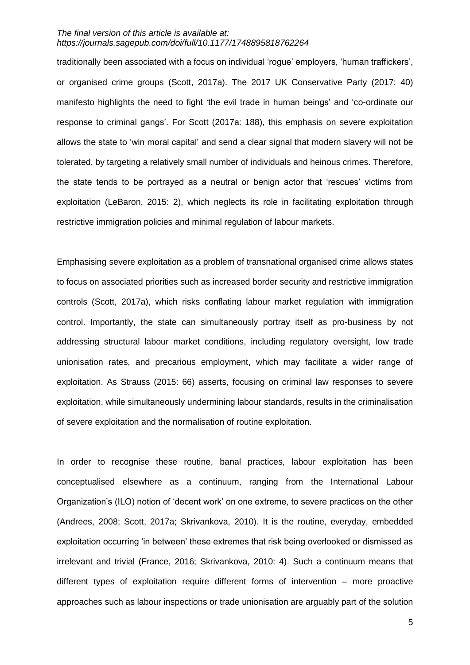traditionally been associated with a focus on individual 'rogue' employers, 'human traffickers', or organised crime groups (Scott, 2017a). The 2017 UK Conservative Party (2017: 40) manifesto highlights the need to fight 'the evil trade in human beings' and 'co-ordinate our response to criminal gangs'. For Scott (2017a: 188), this emphasis on severe exploitation allows the state to 'win moral capital' and send a clear signal that modern slavery will not be tolerated, by targeting a relatively small number of individuals and heinous crimes. Therefore, the state tends to be portrayed as a neutral or benign actor that 'rescues' victims from exploitation (LeBaron, 2015: 2), which neglects its role in facilitating exploitation through restrictive immigration policies and minimal regulation of labour markets.

Emphasising severe exploitation as a problem of transnational organised crime allows states to focus on associated priorities such as increased border security and restrictive immigration controls (Scott, 2017a), which risks conflating labour market regulation with immigration control. Importantly, the state can simultaneously portray itself as pro-business by not addressing structural labour market conditions, including regulatory oversight, low trade unionisation rates, and precarious employment, which may facilitate a wider range of exploitation. As Strauss (2015: 66) asserts, focusing on criminal law responses to severe exploitation, while simultaneously undermining labour standards, results in the criminalisation of severe exploitation and the normalisation of routine exploitation.

In order to recognise these routine, banal practices, labour exploitation has been conceptualised elsewhere as a continuum, ranging from the International Labour Organization's (ILO) notion of 'decent work' on one extreme, to severe practices on the other (Andrees, 2008; Scott, 2017a; Skrivankova, 2010). It is the routine, everyday, embedded exploitation occurring 'in between' these extremes that risk being overlooked or dismissed as irrelevant and trivial (France, 2016; Skrivankova, 2010: 4). Such a continuum means that different types of exploitation require different forms of intervention – more proactive approaches such as labour inspections or trade unionisation are arguably part of the solution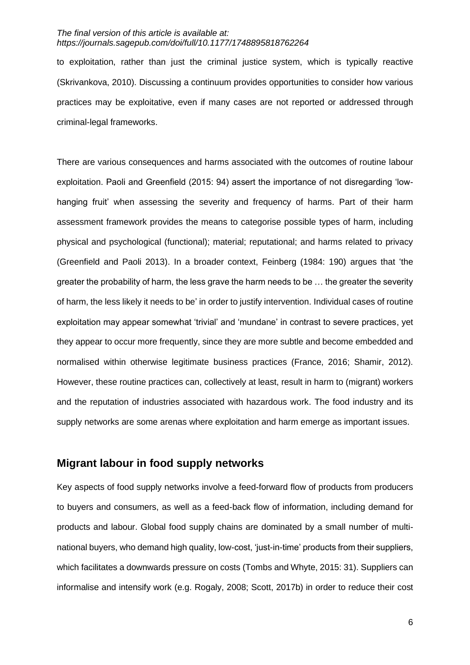to exploitation, rather than just the criminal justice system, which is typically reactive (Skrivankova, 2010). Discussing a continuum provides opportunities to consider how various practices may be exploitative, even if many cases are not reported or addressed through criminal-legal frameworks.

There are various consequences and harms associated with the outcomes of routine labour exploitation. Paoli and Greenfield (2015: 94) assert the importance of not disregarding 'lowhanging fruit' when assessing the severity and frequency of harms. Part of their harm assessment framework provides the means to categorise possible types of harm, including physical and psychological (functional); material; reputational; and harms related to privacy (Greenfield and Paoli 2013). In a broader context, Feinberg (1984: 190) argues that 'the greater the probability of harm, the less grave the harm needs to be … the greater the severity of harm, the less likely it needs to be' in order to justify intervention. Individual cases of routine exploitation may appear somewhat 'trivial' and 'mundane' in contrast to severe practices, yet they appear to occur more frequently, since they are more subtle and become embedded and normalised within otherwise legitimate business practices (France, 2016; Shamir, 2012). However, these routine practices can, collectively at least, result in harm to (migrant) workers and the reputation of industries associated with hazardous work. The food industry and its supply networks are some arenas where exploitation and harm emerge as important issues.

## **Migrant labour in food supply networks**

Key aspects of food supply networks involve a feed-forward flow of products from producers to buyers and consumers, as well as a feed-back flow of information, including demand for products and labour. Global food supply chains are dominated by a small number of multinational buyers, who demand high quality, low-cost, 'just-in-time' products from their suppliers, which facilitates a downwards pressure on costs (Tombs and Whyte, 2015: 31). Suppliers can informalise and intensify work (e.g. Rogaly, 2008; Scott, 2017b) in order to reduce their cost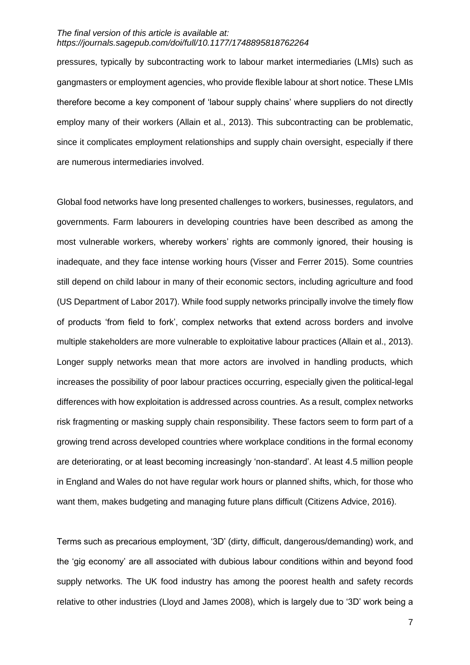pressures, typically by subcontracting work to labour market intermediaries (LMIs) such as gangmasters or employment agencies, who provide flexible labour at short notice. These LMIs therefore become a key component of 'labour supply chains' where suppliers do not directly employ many of their workers (Allain et al., 2013). This subcontracting can be problematic, since it complicates employment relationships and supply chain oversight, especially if there are numerous intermediaries involved.

Global food networks have long presented challenges to workers, businesses, regulators, and governments. Farm labourers in developing countries have been described as among the most vulnerable workers, whereby workers' rights are commonly ignored, their housing is inadequate, and they face intense working hours (Visser and Ferrer 2015). Some countries still depend on child labour in many of their economic sectors, including agriculture and food (US Department of Labor 2017). While food supply networks principally involve the timely flow of products 'from field to fork', complex networks that extend across borders and involve multiple stakeholders are more vulnerable to exploitative labour practices (Allain et al., 2013). Longer supply networks mean that more actors are involved in handling products, which increases the possibility of poor labour practices occurring, especially given the political-legal differences with how exploitation is addressed across countries. As a result, complex networks risk fragmenting or masking supply chain responsibility. These factors seem to form part of a growing trend across developed countries where workplace conditions in the formal economy are deteriorating, or at least becoming increasingly 'non-standard'. At least 4.5 million people in England and Wales do not have regular work hours or planned shifts, which, for those who want them, makes budgeting and managing future plans difficult (Citizens Advice, 2016).

Terms such as precarious employment, '3D' (dirty, difficult, dangerous/demanding) work, and the 'gig economy' are all associated with dubious labour conditions within and beyond food supply networks. The UK food industry has among the poorest health and safety records relative to other industries (Lloyd and James 2008), which is largely due to '3D' work being a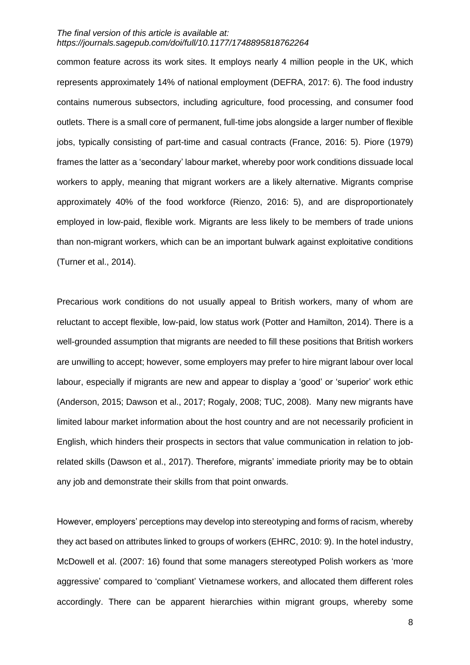common feature across its work sites. It employs nearly 4 million people in the UK, which represents approximately 14% of national employment (DEFRA, 2017: 6). The food industry contains numerous subsectors, including agriculture, food processing, and consumer food outlets. There is a small core of permanent, full-time jobs alongside a larger number of flexible jobs, typically consisting of part-time and casual contracts (France, 2016: 5). Piore (1979) frames the latter as a 'secondary' labour market, whereby poor work conditions dissuade local workers to apply, meaning that migrant workers are a likely alternative. Migrants comprise approximately 40% of the food workforce (Rienzo, 2016: 5), and are disproportionately employed in low-paid, flexible work. Migrants are less likely to be members of trade unions than non-migrant workers, which can be an important bulwark against exploitative conditions (Turner et al., 2014).

Precarious work conditions do not usually appeal to British workers, many of whom are reluctant to accept flexible, low-paid, low status work (Potter and Hamilton, 2014). There is a well-grounded assumption that migrants are needed to fill these positions that British workers are unwilling to accept; however, some employers may prefer to hire migrant labour over local labour, especially if migrants are new and appear to display a 'good' or 'superior' work ethic (Anderson, 2015; Dawson et al., 2017; Rogaly, 2008; TUC, 2008). Many new migrants have limited labour market information about the host country and are not necessarily proficient in English, which hinders their prospects in sectors that value communication in relation to jobrelated skills (Dawson et al., 2017). Therefore, migrants' immediate priority may be to obtain any job and demonstrate their skills from that point onwards.

However, employers' perceptions may develop into stereotyping and forms of racism, whereby they act based on attributes linked to groups of workers (EHRC, 2010: 9). In the hotel industry, McDowell et al. (2007: 16) found that some managers stereotyped Polish workers as 'more aggressive' compared to 'compliant' Vietnamese workers, and allocated them different roles accordingly. There can be apparent hierarchies within migrant groups, whereby some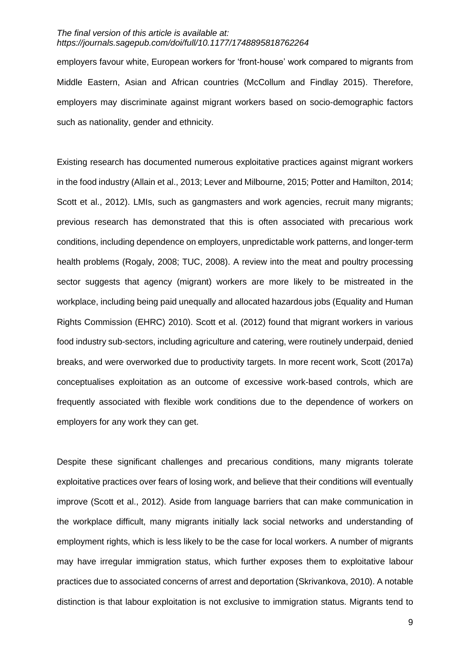employers favour white, European workers for 'front-house' work compared to migrants from Middle Eastern, Asian and African countries (McCollum and Findlay 2015). Therefore, employers may discriminate against migrant workers based on socio-demographic factors such as nationality, gender and ethnicity.

Existing research has documented numerous exploitative practices against migrant workers in the food industry (Allain et al., 2013; Lever and Milbourne, 2015; Potter and Hamilton, 2014; Scott et al., 2012). LMIs, such as gangmasters and work agencies, recruit many migrants; previous research has demonstrated that this is often associated with precarious work conditions, including dependence on employers, unpredictable work patterns, and longer-term health problems (Rogaly, 2008; TUC, 2008). A review into the meat and poultry processing sector suggests that agency (migrant) workers are more likely to be mistreated in the workplace, including being paid unequally and allocated hazardous jobs (Equality and Human Rights Commission (EHRC) 2010). Scott et al. (2012) found that migrant workers in various food industry sub-sectors, including agriculture and catering, were routinely underpaid, denied breaks, and were overworked due to productivity targets. In more recent work, Scott (2017a) conceptualises exploitation as an outcome of excessive work-based controls, which are frequently associated with flexible work conditions due to the dependence of workers on employers for any work they can get.

Despite these significant challenges and precarious conditions, many migrants tolerate exploitative practices over fears of losing work, and believe that their conditions will eventually improve (Scott et al., 2012). Aside from language barriers that can make communication in the workplace difficult, many migrants initially lack social networks and understanding of employment rights, which is less likely to be the case for local workers. A number of migrants may have irregular immigration status, which further exposes them to exploitative labour practices due to associated concerns of arrest and deportation (Skrivankova, 2010). A notable distinction is that labour exploitation is not exclusive to immigration status. Migrants tend to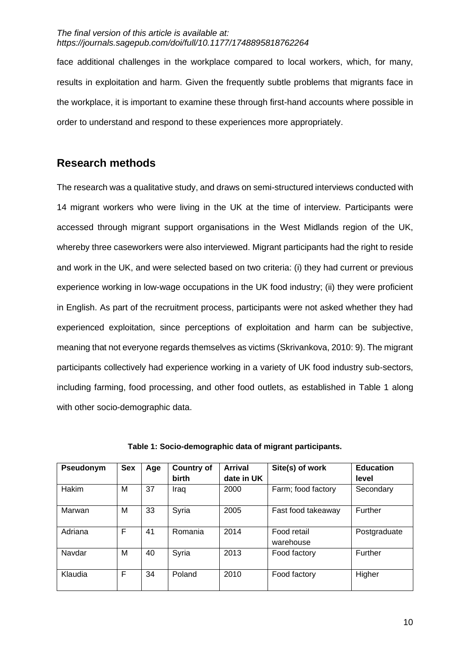face additional challenges in the workplace compared to local workers, which, for many, results in exploitation and harm. Given the frequently subtle problems that migrants face in the workplace, it is important to examine these through first-hand accounts where possible in order to understand and respond to these experiences more appropriately.

## **Research methods**

The research was a qualitative study, and draws on semi-structured interviews conducted with 14 migrant workers who were living in the UK at the time of interview. Participants were accessed through migrant support organisations in the West Midlands region of the UK, whereby three caseworkers were also interviewed. Migrant participants had the right to reside and work in the UK, and were selected based on two criteria: (i) they had current or previous experience working in low-wage occupations in the UK food industry; (ii) they were proficient in English. As part of the recruitment process, participants were not asked whether they had experienced exploitation, since perceptions of exploitation and harm can be subjective, meaning that not everyone regards themselves as victims (Skrivankova, 2010: 9). The migrant participants collectively had experience working in a variety of UK food industry sub-sectors, including farming, food processing, and other food outlets, as established in Table 1 along with other socio-demographic data.

| Pseudonym | <b>Sex</b> | Age | <b>Country of</b><br>birth | <b>Arrival</b><br>date in UK | Site(s) of work          | <b>Education</b><br>level |
|-----------|------------|-----|----------------------------|------------------------------|--------------------------|---------------------------|
| Hakim     | M          | 37  | Iraq                       | 2000                         | Farm; food factory       | Secondary                 |
| Marwan    | M          | 33  | Syria                      | 2005                         | Fast food takeaway       | Further                   |
| Adriana   | F          | 41  | Romania                    | 2014                         | Food retail<br>warehouse | Postgraduate              |
| Navdar    | М          | 40  | Syria                      | 2013                         | Food factory             | Further                   |
| Klaudia   | F          | 34  | Poland                     | 2010                         | Food factory             | Higher                    |

**Table 1: Socio-demographic data of migrant participants.**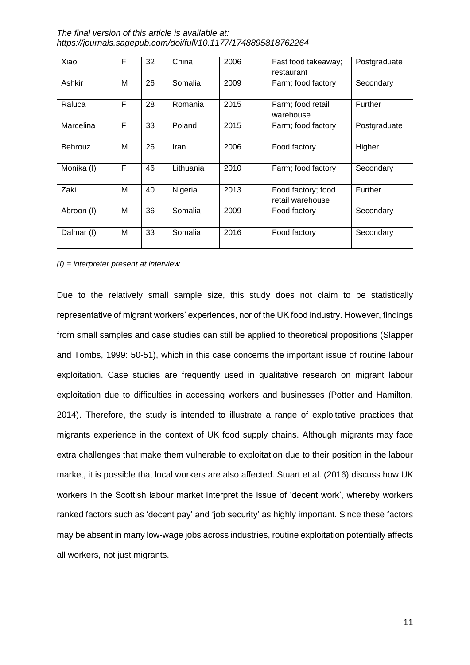| Xiao           | F | 32 | China     | 2006 | Fast food takeaway;<br>restaurant      | Postgraduate |
|----------------|---|----|-----------|------|----------------------------------------|--------------|
| Ashkir         | M | 26 | Somalia   | 2009 | Farm; food factory                     | Secondary    |
| Raluca         | F | 28 | Romania   | 2015 | Farm; food retail<br>warehouse         | Further      |
| Marcelina      | F | 33 | Poland    | 2015 | Farm; food factory                     | Postgraduate |
| <b>Behrouz</b> | M | 26 | Iran      | 2006 | Food factory                           | Higher       |
| Monika (I)     | F | 46 | Lithuania | 2010 | Farm; food factory                     | Secondary    |
| Zaki           | M | 40 | Nigeria   | 2013 | Food factory; food<br>retail warehouse | Further      |
| Abroon (I)     | M | 36 | Somalia   | 2009 | Food factory                           | Secondary    |
| Dalmar (I)     | M | 33 | Somalia   | 2016 | Food factory                           | Secondary    |

#### *(I) = interpreter present at interview*

Due to the relatively small sample size, this study does not claim to be statistically representative of migrant workers' experiences, nor of the UK food industry. However, findings from small samples and case studies can still be applied to theoretical propositions (Slapper and Tombs, 1999: 50-51), which in this case concerns the important issue of routine labour exploitation. Case studies are frequently used in qualitative research on migrant labour exploitation due to difficulties in accessing workers and businesses (Potter and Hamilton, 2014). Therefore, the study is intended to illustrate a range of exploitative practices that migrants experience in the context of UK food supply chains. Although migrants may face extra challenges that make them vulnerable to exploitation due to their position in the labour market, it is possible that local workers are also affected. Stuart et al. (2016) discuss how UK workers in the Scottish labour market interpret the issue of 'decent work', whereby workers ranked factors such as 'decent pay' and 'job security' as highly important. Since these factors may be absent in many low-wage jobs across industries, routine exploitation potentially affects all workers, not just migrants.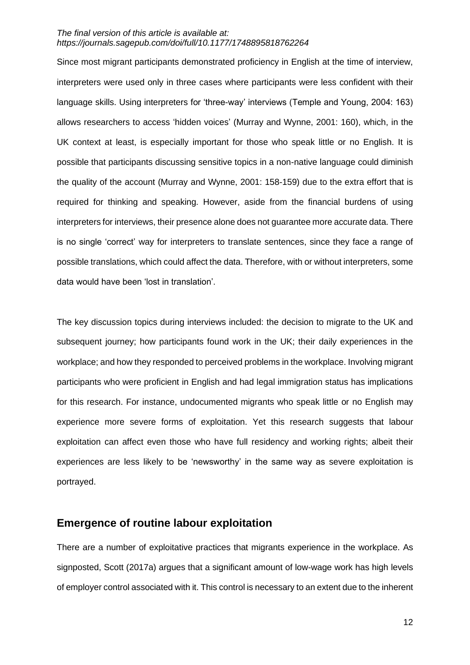Since most migrant participants demonstrated proficiency in English at the time of interview, interpreters were used only in three cases where participants were less confident with their language skills. Using interpreters for 'three-way' interviews (Temple and Young, 2004: 163) allows researchers to access 'hidden voices' (Murray and Wynne, 2001: 160), which, in the UK context at least, is especially important for those who speak little or no English. It is possible that participants discussing sensitive topics in a non-native language could diminish the quality of the account (Murray and Wynne, 2001: 158-159) due to the extra effort that is required for thinking and speaking. However, aside from the financial burdens of using interpreters for interviews, their presence alone does not guarantee more accurate data. There is no single 'correct' way for interpreters to translate sentences, since they face a range of possible translations, which could affect the data. Therefore, with or without interpreters, some data would have been 'lost in translation'.

The key discussion topics during interviews included: the decision to migrate to the UK and subsequent journey; how participants found work in the UK; their daily experiences in the workplace; and how they responded to perceived problems in the workplace. Involving migrant participants who were proficient in English and had legal immigration status has implications for this research. For instance, undocumented migrants who speak little or no English may experience more severe forms of exploitation. Yet this research suggests that labour exploitation can affect even those who have full residency and working rights; albeit their experiences are less likely to be 'newsworthy' in the same way as severe exploitation is portrayed.

## **Emergence of routine labour exploitation**

There are a number of exploitative practices that migrants experience in the workplace. As signposted, Scott (2017a) argues that a significant amount of low-wage work has high levels of employer control associated with it. This control is necessary to an extent due to the inherent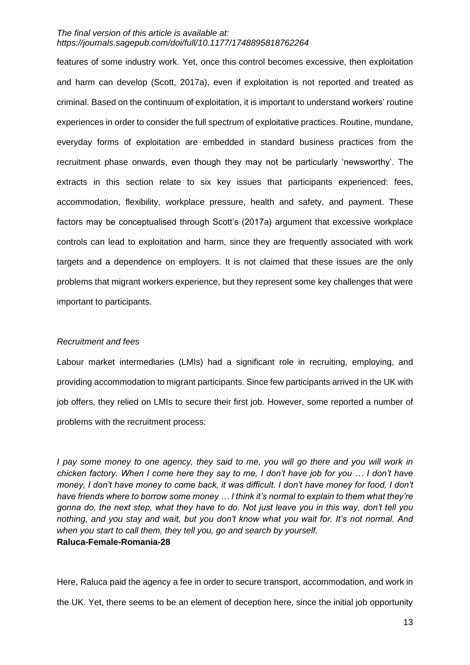features of some industry work. Yet, once this control becomes excessive, then exploitation and harm can develop (Scott, 2017a), even if exploitation is not reported and treated as criminal. Based on the continuum of exploitation, it is important to understand workers' routine experiences in order to consider the full spectrum of exploitative practices. Routine, mundane, everyday forms of exploitation are embedded in standard business practices from the recruitment phase onwards, even though they may not be particularly 'newsworthy'. The extracts in this section relate to six key issues that participants experienced: fees, accommodation, flexibility, workplace pressure, health and safety, and payment. These factors may be conceptualised through Scott's (2017a) argument that excessive workplace controls can lead to exploitation and harm, since they are frequently associated with work targets and a dependence on employers. It is not claimed that these issues are the only problems that migrant workers experience, but they represent some key challenges that were important to participants.

## *Recruitment and fees*

Labour market intermediaries (LMIs) had a significant role in recruiting, employing, and providing accommodation to migrant participants. Since few participants arrived in the UK with job offers, they relied on LMIs to secure their first job. However, some reported a number of problems with the recruitment process:

*I pay some money to one agency, they said to me, you will go there and you will work in chicken factory. When I come here they say to me, I don't have job for you … I don't have money, I don't have money to come back, it was difficult. I don't have money for food, I don't have friends where to borrow some money … I think it's normal to explain to them what they're gonna do, the next step, what they have to do. Not just leave you in this way, don't tell you nothing, and you stay and wait, but you don't know what you wait for. It's not normal. And when you start to call them, they tell you, go and search by yourself.* **Raluca-Female-Romania-28**

Here, Raluca paid the agency a fee in order to secure transport, accommodation, and work in the UK. Yet, there seems to be an element of deception here, since the initial job opportunity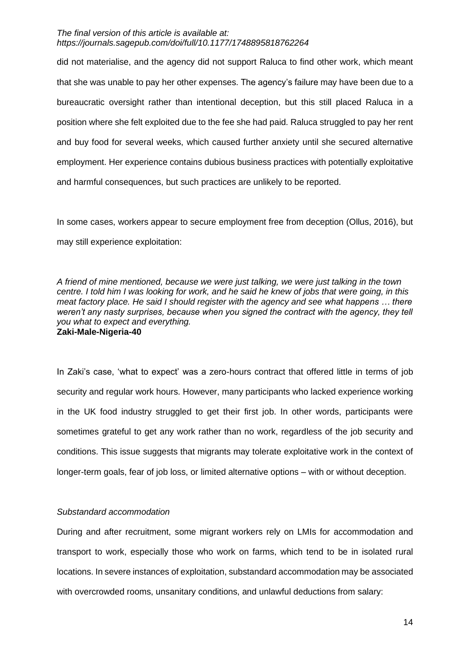did not materialise, and the agency did not support Raluca to find other work, which meant that she was unable to pay her other expenses. The agency's failure may have been due to a bureaucratic oversight rather than intentional deception, but this still placed Raluca in a position where she felt exploited due to the fee she had paid. Raluca struggled to pay her rent and buy food for several weeks, which caused further anxiety until she secured alternative employment. Her experience contains dubious business practices with potentially exploitative and harmful consequences, but such practices are unlikely to be reported.

In some cases, workers appear to secure employment free from deception (Ollus, 2016), but may still experience exploitation:

*A friend of mine mentioned, because we were just talking, we were just talking in the town centre. I told him I was looking for work, and he said he knew of jobs that were going, in this meat factory place. He said I should register with the agency and see what happens … there weren't any nasty surprises, because when you signed the contract with the agency, they tell you what to expect and everything.*  **Zaki-Male-Nigeria-40**

In Zaki's case, 'what to expect' was a zero-hours contract that offered little in terms of job security and regular work hours. However, many participants who lacked experience working in the UK food industry struggled to get their first job. In other words, participants were sometimes grateful to get any work rather than no work, regardless of the job security and conditions. This issue suggests that migrants may tolerate exploitative work in the context of longer-term goals, fear of job loss, or limited alternative options – with or without deception.

## *Substandard accommodation*

During and after recruitment, some migrant workers rely on LMIs for accommodation and transport to work, especially those who work on farms, which tend to be in isolated rural locations. In severe instances of exploitation, substandard accommodation may be associated with overcrowded rooms, unsanitary conditions, and unlawful deductions from salary: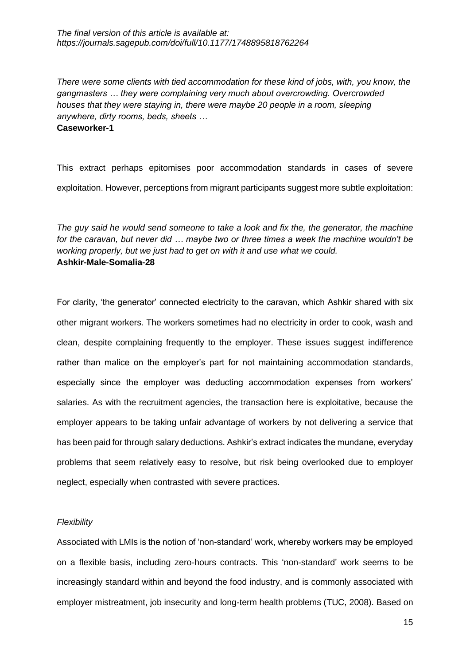*There were some clients with tied accommodation for these kind of jobs, with, you know, the gangmasters … they were complaining very much about overcrowding. Overcrowded houses that they were staying in, there were maybe 20 people in a room, sleeping anywhere, dirty rooms, beds, sheets …*  **Caseworker-1**

This extract perhaps epitomises poor accommodation standards in cases of severe exploitation. However, perceptions from migrant participants suggest more subtle exploitation:

*The guy said he would send someone to take a look and fix the, the generator, the machine for the caravan, but never did … maybe two or three times a week the machine wouldn't be working properly, but we just had to get on with it and use what we could.* **Ashkir-Male-Somalia-28**

For clarity, 'the generator' connected electricity to the caravan, which Ashkir shared with six other migrant workers. The workers sometimes had no electricity in order to cook, wash and clean, despite complaining frequently to the employer. These issues suggest indifference rather than malice on the employer's part for not maintaining accommodation standards, especially since the employer was deducting accommodation expenses from workers' salaries. As with the recruitment agencies, the transaction here is exploitative, because the employer appears to be taking unfair advantage of workers by not delivering a service that has been paid for through salary deductions. Ashkir's extract indicates the mundane, everyday problems that seem relatively easy to resolve, but risk being overlooked due to employer neglect, especially when contrasted with severe practices.

#### *Flexibility*

Associated with LMIs is the notion of 'non-standard' work, whereby workers may be employed on a flexible basis, including zero-hours contracts. This 'non-standard' work seems to be increasingly standard within and beyond the food industry, and is commonly associated with employer mistreatment, job insecurity and long-term health problems (TUC, 2008). Based on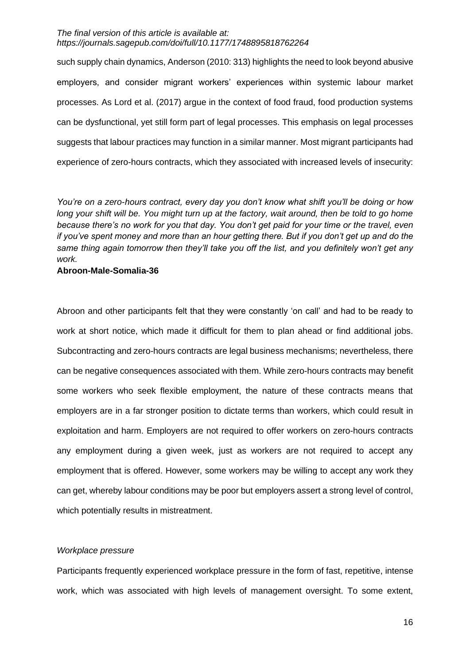such supply chain dynamics, Anderson (2010: 313) highlights the need to look beyond abusive employers, and consider migrant workers' experiences within systemic labour market processes. As Lord et al. (2017) argue in the context of food fraud, food production systems can be dysfunctional, yet still form part of legal processes. This emphasis on legal processes suggests that labour practices may function in a similar manner. Most migrant participants had experience of zero-hours contracts, which they associated with increased levels of insecurity:

*You're on a zero-hours contract, every day you don't know what shift you'll be doing or how long your shift will be. You might turn up at the factory, wait around, then be told to go home because there's no work for you that day. You don't get paid for your time or the travel, even if you've spent money and more than an hour getting there. But if you don't get up and do the same thing again tomorrow then they'll take you off the list, and you definitely won't get any work.*

#### **Abroon-Male-Somalia-36**

Abroon and other participants felt that they were constantly 'on call' and had to be ready to work at short notice, which made it difficult for them to plan ahead or find additional jobs. Subcontracting and zero-hours contracts are legal business mechanisms; nevertheless, there can be negative consequences associated with them. While zero-hours contracts may benefit some workers who seek flexible employment, the nature of these contracts means that employers are in a far stronger position to dictate terms than workers, which could result in exploitation and harm. Employers are not required to offer workers on zero-hours contracts any employment during a given week, just as workers are not required to accept any employment that is offered. However, some workers may be willing to accept any work they can get, whereby labour conditions may be poor but employers assert a strong level of control, which potentially results in mistreatment.

### *Workplace pressure*

Participants frequently experienced workplace pressure in the form of fast, repetitive, intense work, which was associated with high levels of management oversight. To some extent,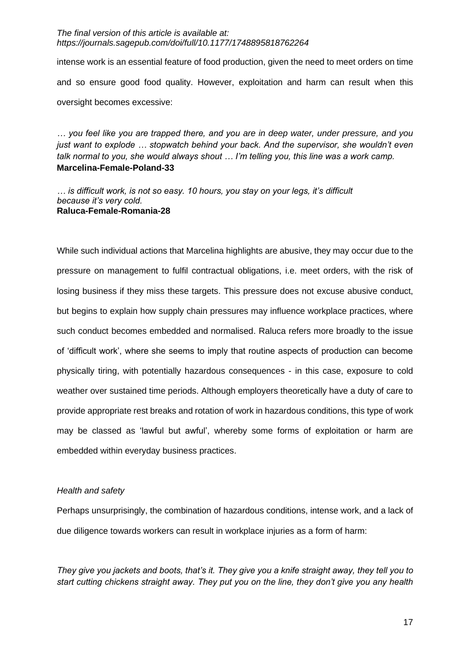intense work is an essential feature of food production, given the need to meet orders on time and so ensure good food quality. However, exploitation and harm can result when this oversight becomes excessive:

*… you feel like you are trapped there, and you are in deep water, under pressure, and you just want to explode … stopwatch behind your back. And the supervisor, she wouldn't even talk normal to you, she would always shout … I'm telling you, this line was a work camp.* **Marcelina-Female-Poland-33**

*… is difficult work, is not so easy. 10 hours, you stay on your legs, it's difficult because it's very cold.* **Raluca-Female-Romania-28**

While such individual actions that Marcelina highlights are abusive, they may occur due to the pressure on management to fulfil contractual obligations, i.e. meet orders, with the risk of losing business if they miss these targets. This pressure does not excuse abusive conduct, but begins to explain how supply chain pressures may influence workplace practices, where such conduct becomes embedded and normalised. Raluca refers more broadly to the issue of 'difficult work', where she seems to imply that routine aspects of production can become physically tiring, with potentially hazardous consequences - in this case, exposure to cold weather over sustained time periods. Although employers theoretically have a duty of care to provide appropriate rest breaks and rotation of work in hazardous conditions, this type of work may be classed as 'lawful but awful', whereby some forms of exploitation or harm are embedded within everyday business practices.

## *Health and safety*

Perhaps unsurprisingly, the combination of hazardous conditions, intense work, and a lack of due diligence towards workers can result in workplace injuries as a form of harm:

*They give you jackets and boots, that's it. They give you a knife straight away, they tell you to start cutting chickens straight away. They put you on the line, they don't give you any health*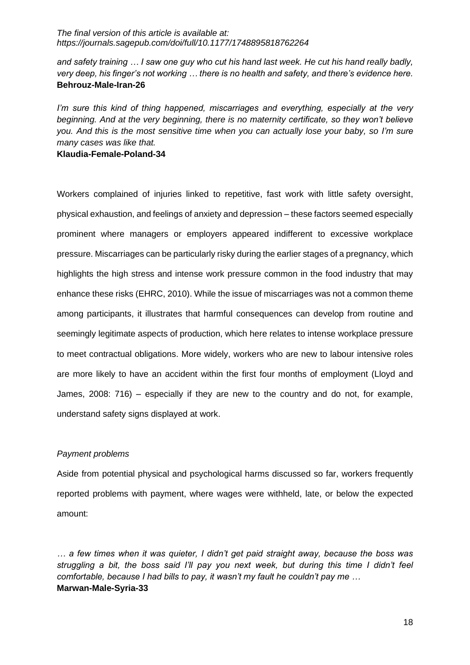*and safety training … I saw one guy who cut his hand last week. He cut his hand really badly, very deep, his finger's not working … there is no health and safety, and there's evidence here.* **Behrouz-Male-Iran-26**

*I'm sure this kind of thing happened, miscarriages and everything, especially at the very beginning. And at the very beginning, there is no maternity certificate, so they won't believe you. And this is the most sensitive time when you can actually lose your baby, so I'm sure many cases was like that.*

**Klaudia-Female-Poland-34**

Workers complained of injuries linked to repetitive, fast work with little safety oversight, physical exhaustion, and feelings of anxiety and depression – these factors seemed especially prominent where managers or employers appeared indifferent to excessive workplace pressure. Miscarriages can be particularly risky during the earlier stages of a pregnancy, which highlights the high stress and intense work pressure common in the food industry that may enhance these risks (EHRC, 2010). While the issue of miscarriages was not a common theme among participants, it illustrates that harmful consequences can develop from routine and seemingly legitimate aspects of production, which here relates to intense workplace pressure to meet contractual obligations. More widely, workers who are new to labour intensive roles are more likely to have an accident within the first four months of employment (Lloyd and James, 2008: 716) – especially if they are new to the country and do not, for example, understand safety signs displayed at work.

## *Payment problems*

Aside from potential physical and psychological harms discussed so far, workers frequently reported problems with payment, where wages were withheld, late, or below the expected amount:

*… a few times when it was quieter, I didn't get paid straight away, because the boss was struggling a bit, the boss said I'll pay you next week, but during this time I didn't feel comfortable, because I had bills to pay, it wasn't my fault he couldn't pay me …* **Marwan-Male-Syria-33**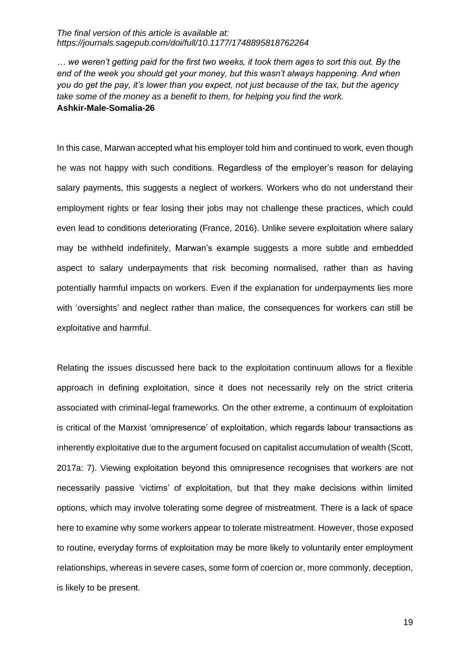*… we weren't getting paid for the first two weeks, it took them ages to sort this out. By the end of the week you should get your money, but this wasn't always happening. And when you do get the pay, it's lower than you expect, not just because of the tax, but the agency take some of the money as a benefit to them, for helping you find the work.*  **Ashkir-Male-Somalia-26**

In this case, Marwan accepted what his employer told him and continued to work, even though he was not happy with such conditions. Regardless of the employer's reason for delaying salary payments, this suggests a neglect of workers. Workers who do not understand their employment rights or fear losing their jobs may not challenge these practices, which could even lead to conditions deteriorating (France, 2016). Unlike severe exploitation where salary may be withheld indefinitely, Marwan's example suggests a more subtle and embedded aspect to salary underpayments that risk becoming normalised, rather than as having potentially harmful impacts on workers. Even if the explanation for underpayments lies more with 'oversights' and neglect rather than malice, the consequences for workers can still be exploitative and harmful.

Relating the issues discussed here back to the exploitation continuum allows for a flexible approach in defining exploitation, since it does not necessarily rely on the strict criteria associated with criminal-legal frameworks. On the other extreme, a continuum of exploitation is critical of the Marxist 'omnipresence' of exploitation, which regards labour transactions as inherently exploitative due to the argument focused on capitalist accumulation of wealth (Scott, 2017a: 7). Viewing exploitation beyond this omnipresence recognises that workers are not necessarily passive 'victims' of exploitation, but that they make decisions within limited options, which may involve tolerating some degree of mistreatment. There is a lack of space here to examine why some workers appear to tolerate mistreatment. However, those exposed to routine, everyday forms of exploitation may be more likely to voluntarily enter employment relationships, whereas in severe cases, some form of coercion or, more commonly, deception, is likely to be present.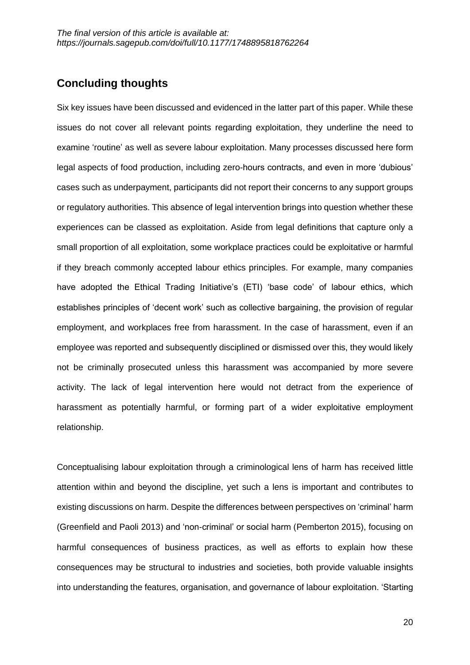## **Concluding thoughts**

Six key issues have been discussed and evidenced in the latter part of this paper. While these issues do not cover all relevant points regarding exploitation, they underline the need to examine 'routine' as well as severe labour exploitation. Many processes discussed here form legal aspects of food production, including zero-hours contracts, and even in more 'dubious' cases such as underpayment, participants did not report their concerns to any support groups or regulatory authorities. This absence of legal intervention brings into question whether these experiences can be classed as exploitation. Aside from legal definitions that capture only a small proportion of all exploitation, some workplace practices could be exploitative or harmful if they breach commonly accepted labour ethics principles. For example, many companies have adopted the Ethical Trading Initiative's (ETI) 'base code' of labour ethics, which establishes principles of 'decent work' such as collective bargaining, the provision of regular employment, and workplaces free from harassment. In the case of harassment, even if an employee was reported and subsequently disciplined or dismissed over this, they would likely not be criminally prosecuted unless this harassment was accompanied by more severe activity. The lack of legal intervention here would not detract from the experience of harassment as potentially harmful, or forming part of a wider exploitative employment relationship.

Conceptualising labour exploitation through a criminological lens of harm has received little attention within and beyond the discipline, yet such a lens is important and contributes to existing discussions on harm. Despite the differences between perspectives on 'criminal' harm (Greenfield and Paoli 2013) and 'non-criminal' or social harm (Pemberton 2015), focusing on harmful consequences of business practices, as well as efforts to explain how these consequences may be structural to industries and societies, both provide valuable insights into understanding the features, organisation, and governance of labour exploitation. 'Starting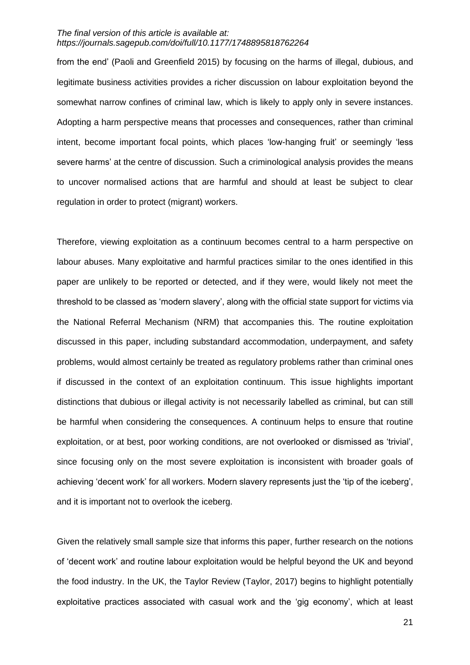from the end' (Paoli and Greenfield 2015) by focusing on the harms of illegal, dubious, and legitimate business activities provides a richer discussion on labour exploitation beyond the somewhat narrow confines of criminal law, which is likely to apply only in severe instances. Adopting a harm perspective means that processes and consequences, rather than criminal intent, become important focal points, which places 'low-hanging fruit' or seemingly 'less severe harms' at the centre of discussion. Such a criminological analysis provides the means to uncover normalised actions that are harmful and should at least be subject to clear regulation in order to protect (migrant) workers.

Therefore, viewing exploitation as a continuum becomes central to a harm perspective on labour abuses. Many exploitative and harmful practices similar to the ones identified in this paper are unlikely to be reported or detected, and if they were, would likely not meet the threshold to be classed as 'modern slavery', along with the official state support for victims via the National Referral Mechanism (NRM) that accompanies this. The routine exploitation discussed in this paper, including substandard accommodation, underpayment, and safety problems, would almost certainly be treated as regulatory problems rather than criminal ones if discussed in the context of an exploitation continuum. This issue highlights important distinctions that dubious or illegal activity is not necessarily labelled as criminal, but can still be harmful when considering the consequences. A continuum helps to ensure that routine exploitation, or at best, poor working conditions, are not overlooked or dismissed as 'trivial', since focusing only on the most severe exploitation is inconsistent with broader goals of achieving 'decent work' for all workers. Modern slavery represents just the 'tip of the iceberg', and it is important not to overlook the iceberg.

Given the relatively small sample size that informs this paper, further research on the notions of 'decent work' and routine labour exploitation would be helpful beyond the UK and beyond the food industry. In the UK, the Taylor Review (Taylor, 2017) begins to highlight potentially exploitative practices associated with casual work and the 'gig economy', which at least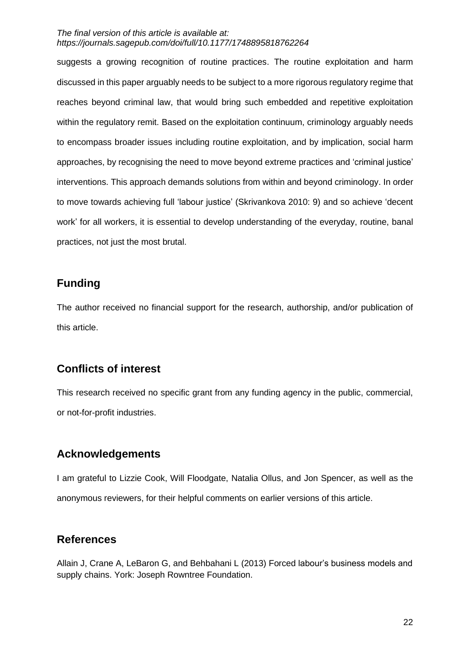suggests a growing recognition of routine practices. The routine exploitation and harm discussed in this paper arguably needs to be subject to a more rigorous regulatory regime that reaches beyond criminal law, that would bring such embedded and repetitive exploitation within the regulatory remit. Based on the exploitation continuum, criminology arguably needs to encompass broader issues including routine exploitation, and by implication, social harm approaches, by recognising the need to move beyond extreme practices and 'criminal justice' interventions. This approach demands solutions from within and beyond criminology. In order to move towards achieving full 'labour justice' (Skrivankova 2010: 9) and so achieve 'decent work' for all workers, it is essential to develop understanding of the everyday, routine, banal practices, not just the most brutal.

## **Funding**

The author received no financial support for the research, authorship, and/or publication of this article.

## **Conflicts of interest**

This research received no specific grant from any funding agency in the public, commercial, or not-for-profit industries.

## **Acknowledgements**

I am grateful to Lizzie Cook, Will Floodgate, Natalia Ollus, and Jon Spencer, as well as the anonymous reviewers, for their helpful comments on earlier versions of this article.

## **References**

Allain J, Crane A, LeBaron G, and Behbahani L (2013) Forced labour's business models and supply chains. York: Joseph Rowntree Foundation.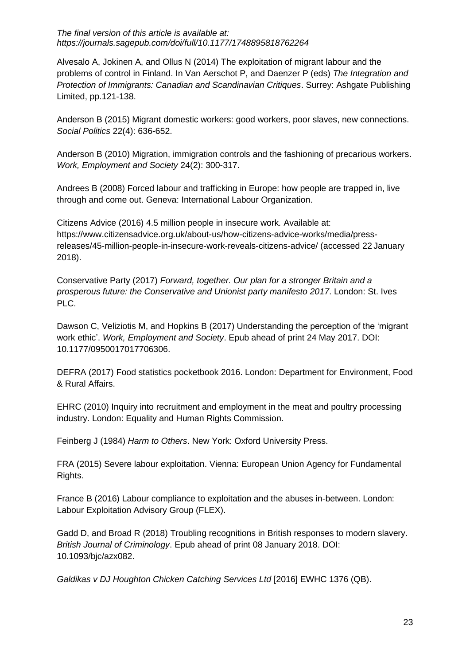Alvesalo A, Jokinen A, and Ollus N (2014) The exploitation of migrant labour and the problems of control in Finland. In Van Aerschot P, and Daenzer P (eds) *The Integration and Protection of Immigrants: Canadian and Scandinavian Critiques*. Surrey: Ashgate Publishing Limited, pp.121-138.

Anderson B (2015) Migrant domestic workers: good workers, poor slaves, new connections. *Social Politics* 22(4): 636-652.

Anderson B (2010) Migration, immigration controls and the fashioning of precarious workers. *Work, Employment and Society* 24(2): 300-317.

Andrees B (2008) Forced labour and trafficking in Europe: how people are trapped in, live through and come out. Geneva: International Labour Organization.

Citizens Advice (2016) 4.5 million people in insecure work*.* Available at: https://www.citizensadvice.org.uk/about-us/how-citizens-advice-works/media/pressreleases/45-million-people-in-insecure-work-reveals-citizens-advice/ (accessed 22 January 2018).

Conservative Party (2017) *Forward, together. Our plan for a stronger Britain and a prosperous future: the Conservative and Unionist party manifesto 2017*. London: St. Ives PLC.

Dawson C, Veliziotis M, and Hopkins B (2017) Understanding the perception of the 'migrant work ethic'. *Work, Employment and Society*. Epub ahead of print 24 May 2017. DOI: 10.1177/0950017017706306.

DEFRA (2017) Food statistics pocketbook 2016. London: Department for Environment, Food & Rural Affairs.

EHRC (2010) Inquiry into recruitment and employment in the meat and poultry processing industry. London: Equality and Human Rights Commission.

Feinberg J (1984) *Harm to Others*. New York: Oxford University Press.

FRA (2015) Severe labour exploitation. Vienna: European Union Agency for Fundamental Rights.

France B (2016) Labour compliance to exploitation and the abuses in-between. London: Labour Exploitation Advisory Group (FLEX).

Gadd D, and Broad R (2018) Troubling recognitions in British responses to modern slavery. *British Journal of Criminology*. Epub ahead of print 08 January 2018. DOI: 10.1093/bjc/azx082.

*Galdikas v DJ Houghton Chicken Catching Services Ltd* [2016] EWHC 1376 (QB).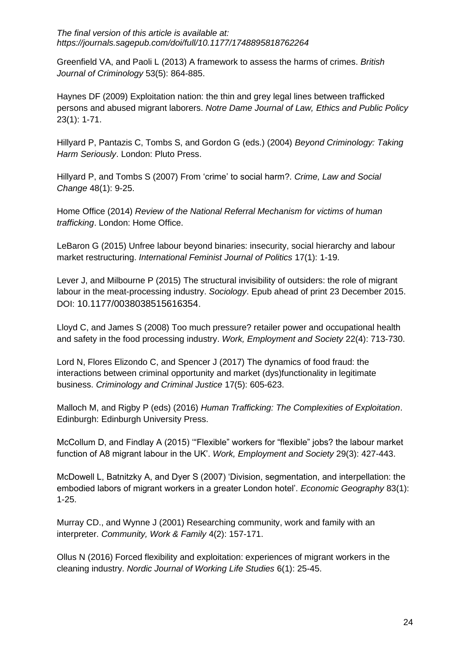Greenfield VA, and Paoli L (2013) A framework to assess the harms of crimes. *British Journal of Criminology* 53(5): 864-885.

Haynes DF (2009) Exploitation nation: the thin and grey legal lines between trafficked persons and abused migrant laborers. *Notre Dame Journal of Law, Ethics and Public Policy* 23(1): 1-71.

Hillyard P, Pantazis C, Tombs S, and Gordon G (eds.) (2004) *Beyond Criminology: Taking Harm Seriously*. London: Pluto Press.

Hillyard P, and Tombs S (2007) From 'crime' to social harm?. *Crime, Law and Social Change* 48(1): 9-25.

Home Office (2014) *Review of the National Referral Mechanism for victims of human trafficking*. London: Home Office.

LeBaron G (2015) Unfree labour beyond binaries: insecurity, social hierarchy and labour market restructuring. *International Feminist Journal of Politics* 17(1): 1-19.

Lever J, and Milbourne P (2015) The structural invisibility of outsiders: the role of migrant labour in the meat-processing industry. *Sociology*. Epub ahead of print 23 December 2015. DOI: [10.1177/0038038515616354](http://dx.doi.org/10.1177%2F0038038515616354).

Lloyd C, and James S (2008) Too much pressure? retailer power and occupational health and safety in the food processing industry. *Work, Employment and Society* 22(4): 713-730.

Lord N, Flores Elizondo C, and Spencer J (2017) The dynamics of food fraud: the interactions between criminal opportunity and market (dys)functionality in legitimate business. *Criminology and Criminal Justice* 17(5): 605-623.

Malloch M, and Rigby P (eds) (2016) *Human Trafficking: The Complexities of Exploitation*. Edinburgh: Edinburgh University Press.

McCollum D, and Findlay A (2015) '"Flexible" workers for "flexible" jobs? the labour market function of A8 migrant labour in the UK'. *Work, Employment and Society* 29(3): 427-443.

McDowell L, Batnitzky A, and Dyer S (2007) 'Division, segmentation, and interpellation: the embodied labors of migrant workers in a greater London hotel'. *Economic Geography* 83(1): 1-25.

Murray CD., and Wynne J (2001) Researching community, work and family with an interpreter. *Community, Work & Family* 4(2): 157-171.

Ollus N (2016) Forced flexibility and exploitation: experiences of migrant workers in the cleaning industry. *Nordic Journal of Working Life Studies* 6(1): 25-45.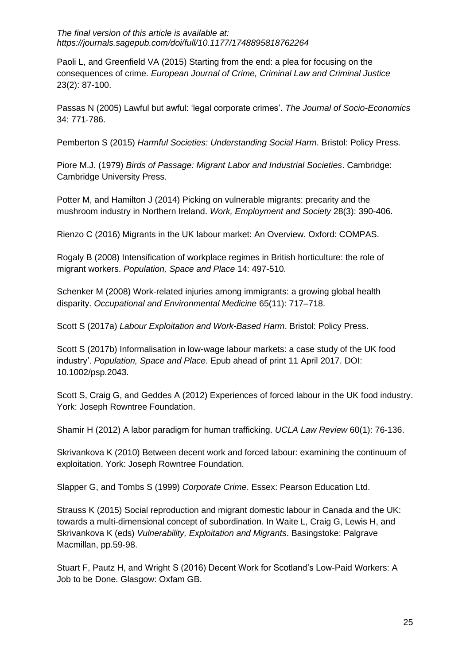Paoli L, and Greenfield VA (2015) Starting from the end: a plea for focusing on the consequences of crime. *European Journal of Crime, Criminal Law and Criminal Justice*  23(2): 87-100.

Passas N (2005) Lawful but awful: 'legal corporate crimes'. *The Journal of Socio-Economics* 34: 771-786.

Pemberton S (2015) *Harmful Societies: Understanding Social Harm*. Bristol: Policy Press.

Piore M.J. (1979) *Birds of Passage: Migrant Labor and Industrial Societies*. Cambridge: Cambridge University Press.

Potter M, and Hamilton J (2014) Picking on vulnerable migrants: precarity and the mushroom industry in Northern Ireland. *Work, Employment and Society* 28(3): 390-406.

Rienzo C (2016) Migrants in the UK labour market: An Overview. Oxford: COMPAS.

Rogaly B (2008) Intensification of workplace regimes in British horticulture: the role of migrant workers. *Population, Space and Place* 14: 497-510.

Schenker M (2008) Work-related injuries among immigrants: a growing global health disparity. *Occupational and Environmental Medicine* 65(11): 717–718.

Scott S (2017a) *Labour Exploitation and Work-Based Harm*. Bristol: Policy Press.

Scott S (2017b) Informalisation in low-wage labour markets: a case study of the UK food industry'. *Population, Space and Place*. Epub ahead of print 11 April 2017. DOI: 10.1002/psp.2043.

Scott S, Craig G, and Geddes A (2012) Experiences of forced labour in the UK food industry. York: Joseph Rowntree Foundation.

Shamir H (2012) A labor paradigm for human trafficking. *UCLA Law Review* 60(1): 76-136.

Skrivankova K (2010) Between decent work and forced labour: examining the continuum of exploitation. York: Joseph Rowntree Foundation.

Slapper G, and Tombs S (1999) *Corporate Crime*. Essex: Pearson Education Ltd.

Strauss K (2015) Social reproduction and migrant domestic labour in Canada and the UK: towards a multi-dimensional concept of subordination. In Waite L, Craig G, Lewis H, and Skrivankova K (eds) *Vulnerability, Exploitation and Migrants*. Basingstoke: Palgrave Macmillan, pp.59-98.

Stuart F, Pautz H, and Wright S (2016) Decent Work for Scotland's Low-Paid Workers: A Job to be Done. Glasgow: Oxfam GB.